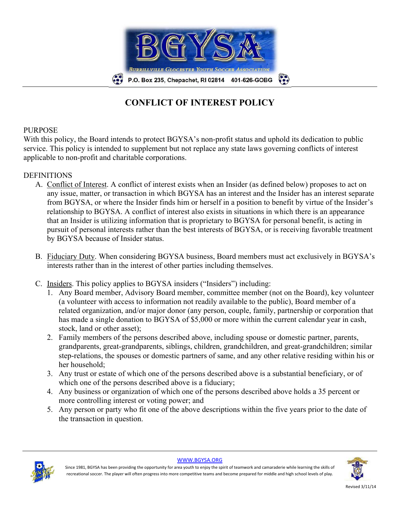

## **CONFLICT OF INTEREST POLICY**

### PURPOSE

With this policy, the Board intends to protect BGYSA's non-profit status and uphold its dedication to public service. This policy is intended to supplement but not replace any state laws governing conflicts of interest applicable to non-profit and charitable corporations.

#### DEFINITIONS

- A. Conflict of Interest. A conflict of interest exists when an Insider (as defined below) proposes to act on any issue, matter, or transaction in which BGYSA has an interest and the Insider has an interest separate from BGYSA, or where the Insider finds him or herself in a position to benefit by virtue of the Insider's relationship to BGYSA. A conflict of interest also exists in situations in which there is an appearance that an Insider is utilizing information that is proprietary to BGYSA for personal benefit, is acting in pursuit of personal interests rather than the best interests of BGYSA, or is receiving favorable treatment by BGYSA because of Insider status.
- B. Fiduciary Duty. When considering BGYSA business, Board members must act exclusively in BGYSA's interests rather than in the interest of other parties including themselves.
- C. Insiders. This policy applies to BGYSA insiders ("Insiders") including:
	- 1. Any Board member, Advisory Board member, committee member (not on the Board), key volunteer (a volunteer with access to information not readily available to the public), Board member of a related organization, and/or major donor (any person, couple, family, partnership or corporation that has made a single donation to BGYSA of \$5,000 or more within the current calendar year in cash, stock, land or other asset);
	- 2. Family members of the persons described above, including spouse or domestic partner, parents, grandparents, great-grandparents, siblings, children, grandchildren, and great-grandchildren; similar step-relations, the spouses or domestic partners of same, and any other relative residing within his or her household;
	- 3. Any trust or estate of which one of the persons described above is a substantial beneficiary, or of which one of the persons described above is a fiduciary;
	- 4. Any business or organization of which one of the persons described above holds a 35 percent or more controlling interest or voting power; and
	- 5. Any person or party who fit one of the above descriptions within the five years prior to the date of the transaction in question.



WWW.BGYSA.ORG



Since 1981, BGYSA has been providing the opportunity for area youth to enjoy the spirit of teamwork and camaraderie while learning the skills of recreational soccer. The player will often progress into more competitive teams and become prepared for middle and high school levels of play.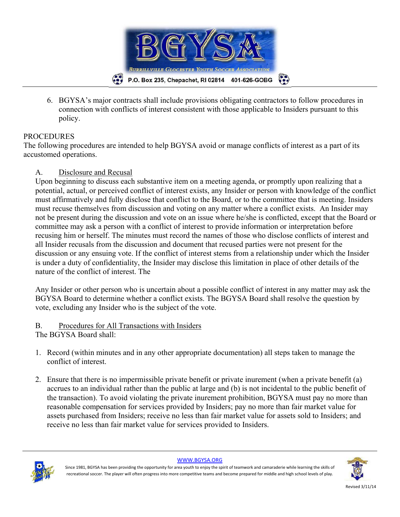

6. BGYSA's major contracts shall include provisions obligating contractors to follow procedures in connection with conflicts of interest consistent with those applicable to Insiders pursuant to this policy.

## **PROCEDURES**

The following procedures are intended to help BGYSA avoid or manage conflicts of interest as a part of its accustomed operations.

## A. Disclosure and Recusal

Upon beginning to discuss each substantive item on a meeting agenda, or promptly upon realizing that a potential, actual, or perceived conflict of interest exists, any Insider or person with knowledge of the conflict must affirmatively and fully disclose that conflict to the Board, or to the committee that is meeting. Insiders must recuse themselves from discussion and voting on any matter where a conflict exists. An Insider may not be present during the discussion and vote on an issue where he/she is conflicted, except that the Board or committee may ask a person with a conflict of interest to provide information or interpretation before recusing him or herself. The minutes must record the names of those who disclose conflicts of interest and all Insider recusals from the discussion and document that recused parties were not present for the discussion or any ensuing vote. If the conflict of interest stems from a relationship under which the Insider is under a duty of confidentiality, the Insider may disclose this limitation in place of other details of the nature of the conflict of interest. The

Any Insider or other person who is uncertain about a possible conflict of interest in any matter may ask the BGYSA Board to determine whether a conflict exists. The BGYSA Board shall resolve the question by vote, excluding any Insider who is the subject of the vote.

# B. Procedures for All Transactions with Insiders

- The BGYSA Board shall:
- 1. Record (within minutes and in any other appropriate documentation) all steps taken to manage the conflict of interest.
- 2. Ensure that there is no impermissible private benefit or private inurement (when a private benefit (a) accrues to an individual rather than the public at large and (b) is not incidental to the public benefit of the transaction). To avoid violating the private inurement prohibition, BGYSA must pay no more than reasonable compensation for services provided by Insiders; pay no more than fair market value for assets purchased from Insiders; receive no less than fair market value for assets sold to Insiders; and receive no less than fair market value for services provided to Insiders.



WWW.BGYSA.ORG

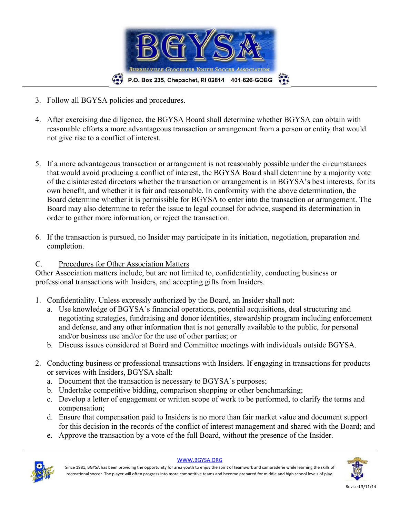

- 3. Follow all BGYSA policies and procedures.
- 4. After exercising due diligence, the BGYSA Board shall determine whether BGYSA can obtain with reasonable efforts a more advantageous transaction or arrangement from a person or entity that would not give rise to a conflict of interest.
- 5. If a more advantageous transaction or arrangement is not reasonably possible under the circumstances that would avoid producing a conflict of interest, the BGYSA Board shall determine by a majority vote of the disinterested directors whether the transaction or arrangement is in BGYSA's best interests, for its own benefit, and whether it is fair and reasonable. In conformity with the above determination, the Board determine whether it is permissible for BGYSA to enter into the transaction or arrangement. The Board may also determine to refer the issue to legal counsel for advice, suspend its determination in order to gather more information, or reject the transaction.
- 6. If the transaction is pursued, no Insider may participate in its initiation, negotiation, preparation and completion.

## C. Procedures for Other Association Matters

Other Association matters include, but are not limited to, confidentiality, conducting business or professional transactions with Insiders, and accepting gifts from Insiders.

- 1. Confidentiality. Unless expressly authorized by the Board, an Insider shall not:
	- a. Use knowledge of BGYSA's financial operations, potential acquisitions, deal structuring and negotiating strategies, fundraising and donor identities, stewardship program including enforcement and defense, and any other information that is not generally available to the public, for personal and/or business use and/or for the use of other parties; or
	- b. Discuss issues considered at Board and Committee meetings with individuals outside BGYSA.
- 2. Conducting business or professional transactions with Insiders. If engaging in transactions for products or services with Insiders, BGYSA shall:
	- a. Document that the transaction is necessary to BGYSA's purposes;
	- b. Undertake competitive bidding, comparison shopping or other benchmarking;
	- c. Develop a letter of engagement or written scope of work to be performed, to clarify the terms and compensation;
	- d. Ensure that compensation paid to Insiders is no more than fair market value and document support for this decision in the records of the conflict of interest management and shared with the Board; and
	- e. Approve the transaction by a vote of the full Board, without the presence of the Insider.



WWW.BGYSA.ORG

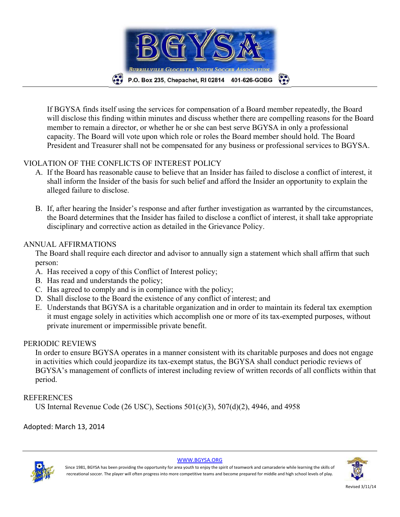

If BGYSA finds itself using the services for compensation of a Board member repeatedly, the Board will disclose this finding within minutes and discuss whether there are compelling reasons for the Board member to remain a director, or whether he or she can best serve BGYSA in only a professional capacity. The Board will vote upon which role or roles the Board member should hold. The Board President and Treasurer shall not be compensated for any business or professional services to BGYSA.

## VIOLATION OF THE CONFLICTS OF INTEREST POLICY

- A. If the Board has reasonable cause to believe that an Insider has failed to disclose a conflict of interest, it shall inform the Insider of the basis for such belief and afford the Insider an opportunity to explain the alleged failure to disclose.
- B. If, after hearing the Insider's response and after further investigation as warranted by the circumstances, the Board determines that the Insider has failed to disclose a conflict of interest, it shall take appropriate disciplinary and corrective action as detailed in the Grievance Policy.

## ANNUAL AFFIRMATIONS

The Board shall require each director and advisor to annually sign a statement which shall affirm that such person:

- A. Has received a copy of this Conflict of Interest policy;
- B. Has read and understands the policy;
- C. Has agreed to comply and is in compliance with the policy;
- D. Shall disclose to the Board the existence of any conflict of interest; and
- E. Understands that BGYSA is a charitable organization and in order to maintain its federal tax exemption it must engage solely in activities which accomplish one or more of its tax-exempted purposes, without private inurement or impermissible private benefit.

### PERIODIC REVIEWS

In order to ensure BGYSA operates in a manner consistent with its charitable purposes and does not engage in activities which could jeopardize its tax-exempt status, the BGYSA shall conduct periodic reviews of BGYSA's management of conflicts of interest including review of written records of all conflicts within that period.

## **REFERENCES**

US Internal Revenue Code (26 USC), Sections 501(c)(3), 507(d)(2), 4946, and 4958

Adopted: March 13, 2014



WWW.BGYSA.ORG



Since 1981, BGYSA has been providing the opportunity for area youth to enjoy the spirit of teamwork and camaraderie while learning the skills of recreational soccer. The player will often progress into more competitive teams and become prepared for middle and high school levels of play.